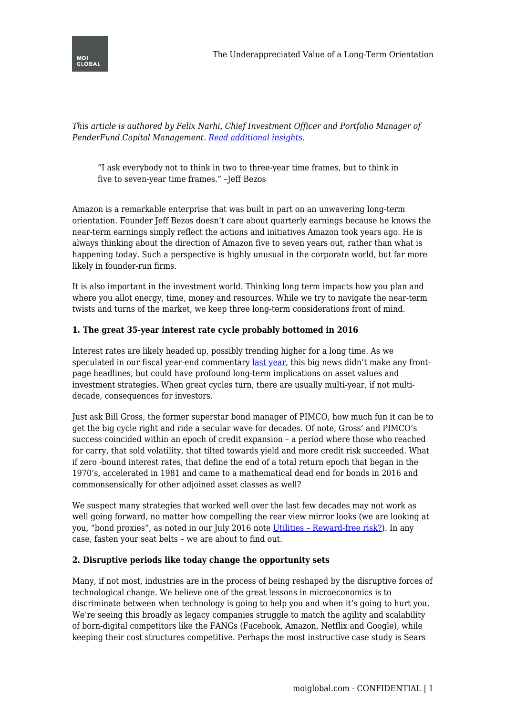



*This article is authored by Felix Narhi, Chief Investment Officer and Portfolio Manager of PenderFund Capital Management. [Read additional insights](https://www.penderfund.com/insights-and-ideas/).*

"I ask everybody not to think in two to three-year time frames, but to think in five to seven-year time frames." –Jeff Bezos

Amazon is a remarkable enterprise that was built in part on an unwavering long-term orientation. Founder Jeff Bezos doesn't care about quarterly earnings because he knows the near-term earnings simply reflect the actions and initiatives Amazon took years ago. He is always thinking about the direction of Amazon five to seven years out, rather than what is happening today. Such a perspective is highly unusual in the corporate world, but far more likely in founder-run firms.

It is also important in the investment world. Thinking long term impacts how you plan and where you allot energy, time, money and resources. While we try to navigate the near-term twists and turns of the market, we keep three long-term considerations front of mind.

## **1. The great 35-year interest rate cycle probably bottomed in 2016**

Interest rates are likely headed up, possibly trending higher for a long time. As we speculated in our fiscal year-end commentary [last year](http://www.penderfund.com/insights-and-ideas/commentaries/managers-quarterly-commentary-felix-narhi-q4-2016/), this big news didn't make any frontpage headlines, but could have profound long-term implications on asset values and investment strategies. When great cycles turn, there are usually multi-year, if not multidecade, consequences for investors.

Just ask Bill Gross, the former superstar bond manager of PIMCO, how much fun it can be to get the big cycle right and ride a secular wave for decades. Of note, Gross' and PIMCO's success coincided within an epoch of credit expansion – a period where those who reached for carry, that sold volatility, that tilted towards yield and more credit risk succeeded. What if zero -bound interest rates, that define the end of a total return epoch that began in the 1970's, accelerated in 1981 and came to a mathematical dead end for bonds in 2016 and commonsensically for other adjoined asset classes as well?

We suspect many strategies that worked well over the last few decades may not work as well going forward, no matter how compelling the rear view mirror looks (we are looking at you, "bond proxies", as noted in our July 2016 note [Utilities – Reward-free risk?](http://www.penderfund.com/insights-and-ideas/pender-blog/utilities-reward-free-risk/)). In any case, fasten your seat belts – we are about to find out.

## **2. Disruptive periods like today change the opportunity sets**

Many, if not most, industries are in the process of being reshaped by the disruptive forces of technological change. We believe one of the great lessons in microeconomics is to discriminate between when technology is going to help you and when it's going to hurt you. We're seeing this broadly as legacy companies struggle to match the agility and scalability of born-digital competitors like the FANGs (Facebook, Amazon, Netflix and Google), while keeping their cost structures competitive. Perhaps the most instructive case study is Sears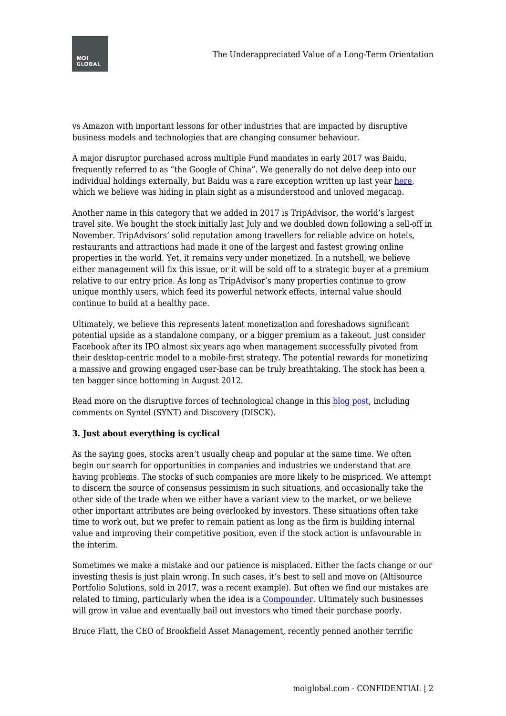

vs Amazon with important lessons for other industries that are impacted by disruptive business models and technologies that are changing consumer behaviour.

A major disruptor purchased across multiple Fund mandates in early 2017 was Baidu, frequently referred to as "the Google of China". We generally do not delve deep into our individual holdings externally, but Baidu was a rare exception written up last year [here,](http://www.penderfund.com/insights-and-ideas/commentaries/managers-quarterly-commentary-felix-narhi-q1-2017-part-2/) which we believe was hiding in plain sight as a misunderstood and unloved megacap.

Another name in this category that we added in 2017 is TripAdvisor, the world's largest travel site. We bought the stock initially last July and we doubled down following a sell-off in November. TripAdvisors' solid reputation among travellers for reliable advice on hotels, restaurants and attractions had made it one of the largest and fastest growing online properties in the world. Yet, it remains very under monetized. In a nutshell, we believe either management will fix this issue, or it will be sold off to a strategic buyer at a premium relative to our entry price. As long as TripAdvisor's many properties continue to grow unique monthly users, which feed its powerful network effects, internal value should continue to build at a healthy pace.

Ultimately, we believe this represents latent monetization and foreshadows significant potential upside as a standalone company, or a bigger premium as a takeout. Just consider Facebook after its IPO almost six years ago when management successfully pivoted from their desktop-centric model to a mobile-first strategy. The potential rewards for monetizing a massive and growing engaged user-base can be truly breathtaking. The stock has been a ten bagger since bottoming in August 2012.

Read more on the disruptive forces of technological change in this [blog post,](http://www.penderfund.com/insights-and-ideas/pender-blog/blog-post-more-on-the-disruptive-forces-of-technological-change/) including comments on Syntel (SYNT) and Discovery (DISCK).

## **3. Just about everything is cyclical**

As the saying goes, stocks aren't usually cheap and popular at the same time. We often begin our search for opportunities in companies and industries we understand that are having problems. The stocks of such companies are more likely to be mispriced. We attempt to discern the source of consensus pessimism in such situations, and occasionally take the other side of the trade when we either have a variant view to the market, or we believe other important attributes are being overlooked by investors. These situations often take time to work out, but we prefer to remain patient as long as the firm is building internal value and improving their competitive position, even if the stock action is unfavourable in the interim.

Sometimes we make a mistake and our patience is misplaced. Either the facts change or our investing thesis is just plain wrong. In such cases, it's best to sell and move on (Altisource Portfolio Solutions, sold in 2017, was a recent example). But often we find our mistakes are related to timing, particularly when the idea is a [Compounder](http://www.penderfund.com/insights-and-ideas/glossary/compounders/). Ultimately such businesses will grow in value and eventually bail out investors who timed their purchase poorly.

Bruce Flatt, the CEO of Brookfield Asset Management, recently penned another terrific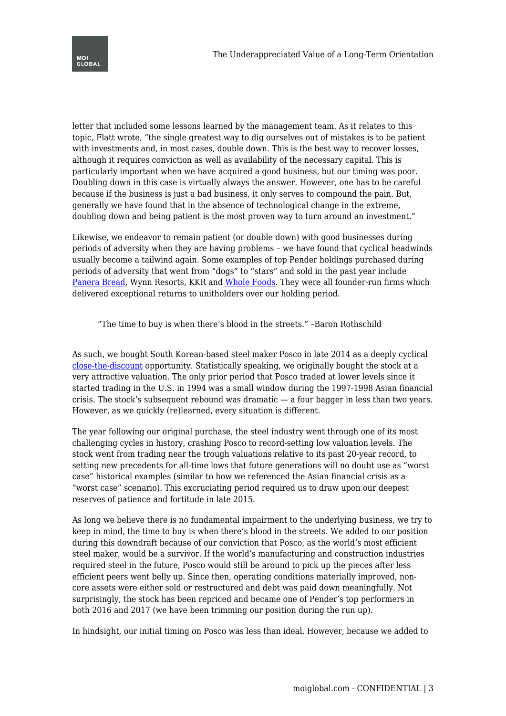

letter that included some lessons learned by the management team. As it relates to this topic, Flatt wrote, "the single greatest way to dig ourselves out of mistakes is to be patient with investments and, in most cases, double down. This is the best way to recover losses, although it requires conviction as well as availability of the necessary capital. This is particularly important when we have acquired a good business, but our timing was poor. Doubling down in this case is virtually always the answer. However, one has to be careful because if the business is just a bad business, it only serves to compound the pain. But, generally we have found that in the absence of technological change in the extreme, doubling down and being patient is the most proven way to turn around an investment."

Likewise, we endeavor to remain patient (or double down) with good businesses during periods of adversity when they are having problems – we have found that cyclical headwinds usually become a tailwind again. Some examples of top Pender holdings purchased during periods of adversity that went from "dogs" to "stars" and sold in the past year include [Panera Bread](http://www.penderfund.com/insights-and-ideas/pender-blog/panera-bread-news-take-premium-bittersweet/), Wynn Resorts, KKR and [Whole Foods](http://www.penderfund.com/insights-and-ideas/pender-blog/whole-foods-amazons-big-move-grocery-value-chain/). They were all founder-run firms which delivered exceptional returns to unitholders over our holding period.

"The time to buy is when there's blood in the streets." –Baron Rothschild

As such, we bought South Korean-based steel maker Posco in late 2014 as a deeply cyclical [close-the-discount](http://www.penderfund.com/insights-and-ideas/glossary/close-the-discount/) opportunity. Statistically speaking, we originally bought the stock at a very attractive valuation. The only prior period that Posco traded at lower levels since it started trading in the U.S. in 1994 was a small window during the 1997-1998 Asian financial crisis. The stock's subsequent rebound was dramatic — a four bagger in less than two years. However, as we quickly (re)learned, every situation is different.

The year following our original purchase, the steel industry went through one of its most challenging cycles in history, crashing Posco to record-setting low valuation levels. The stock went from trading near the trough valuations relative to its past 20-year record, to setting new precedents for all-time lows that future generations will no doubt use as "worst case" historical examples (similar to how we referenced the Asian financial crisis as a "worst case" scenario). This excruciating period required us to draw upon our deepest reserves of patience and fortitude in late 2015.

As long we believe there is no fundamental impairment to the underlying business, we try to keep in mind, the time to buy is when there's blood in the streets. We added to our position during this downdraft because of our conviction that Posco, as the world's most efficient steel maker, would be a survivor. If the world's manufacturing and construction industries required steel in the future, Posco would still be around to pick up the pieces after less efficient peers went belly up. Since then, operating conditions materially improved, noncore assets were either sold or restructured and debt was paid down meaningfully. Not surprisingly, the stock has been repriced and became one of Pender's top performers in both 2016 and 2017 (we have been trimming our position during the run up).

In hindsight, our initial timing on Posco was less than ideal. However, because we added to